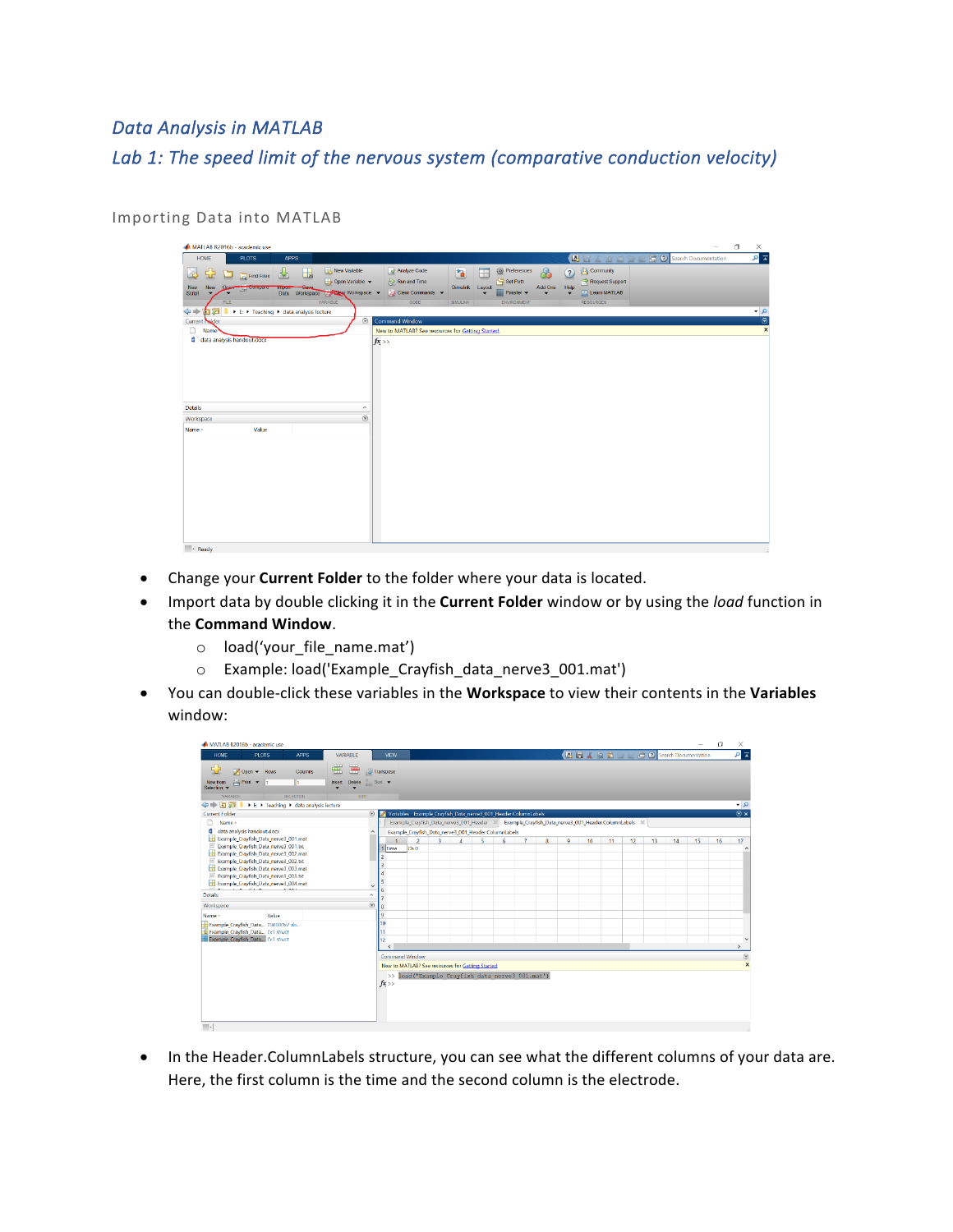## **Data Analysis in MATLAB**

Lab 1: The speed limit of the nervous system (comparative conduction velocity)

| MATLAB R2016b - academic use                                                        |                                                                                                            |                                                                     |                                                                                                                              |                                                                                                                                                                        | $\Box$<br>$\times$<br>$\overline{\phantom{a}}$ |
|-------------------------------------------------------------------------------------|------------------------------------------------------------------------------------------------------------|---------------------------------------------------------------------|------------------------------------------------------------------------------------------------------------------------------|------------------------------------------------------------------------------------------------------------------------------------------------------------------------|------------------------------------------------|
| <b>PLOTS</b><br><b>HOME</b>                                                         | <b>APPS</b>                                                                                                |                                                                     |                                                                                                                              | 西田区<br>50 面                                                                                                                                                            | $\sqrt{2}$<br>Search Documentation             |
| 45<br>Ŀ.<br>Find Files<br>◘<br>Open L Compare<br>New<br>New<br>Script<br><b>FLE</b> | New Variable<br>H.<br>Open Variable<br><b>Hipot</b><br>Data Workspace Concert Workspace<br><b>VARIABLE</b> | Analyze Code<br>Run and Time<br>Clear Commands -<br>CODE            | O Preferences<br>ħ<br>F<br>Set Path<br>Simulink<br>Layout<br><b>iiii</b> Parallel v<br><b>SIMULINK</b><br><b>ENVIRONMENT</b> | <b>Community</b><br>4<br>$\overline{2}$<br>Request Support<br>Add-Ons Help<br>Learn MATLAB<br>$\overline{\phantom{0}}$<br>$\overline{\phantom{0}}$<br><b>RESOURCES</b> |                                                |
| $\Leftrightarrow$<br>自宮                                                             | ▶ E: ▶ Teaching ▶ data analysis lecture                                                                    |                                                                     |                                                                                                                              |                                                                                                                                                                        | $\bullet$ $\circ$                              |
| Current Nder<br>D<br>Name                                                           | $\odot$                                                                                                    | Command Window<br>New to MATLAB? See resources for Getting Started. |                                                                                                                              |                                                                                                                                                                        | $\overline{\bullet}$<br>$\times$               |
| d data analysis handout.docx                                                        |                                                                                                            | $fx \rightarrow$                                                    |                                                                                                                              |                                                                                                                                                                        |                                                |
| <b>Details</b>                                                                      | $\hat{\phantom{a}}$                                                                                        |                                                                     |                                                                                                                              |                                                                                                                                                                        |                                                |
| Workspace<br>Value<br>Name -<br><b>IIII</b> a Douglas                               | $^\copyright$                                                                                              |                                                                     |                                                                                                                              |                                                                                                                                                                        |                                                |

Importing Data into MATLAB

- Change your **Current Folder** to the folder where your data is located.
- Import data by double clicking it in the **Current Folder** window or by using the *load* function in the **Command Window**.
	- o load('your\_file\_name.mat')
	- o Example: load('Example\_Crayfish\_data\_nerve3\_001.mat')
- You can double-click these variables in the Workspace to view their contents in the Variables window:

| MATLAB R2016b - academic use                                                                                                                                                                                                                                                                                                                                                      |                                                                                                                                                                                  |                                                                                                      |                    |        |          |                                     | $\overline{\phantom{a}}$ | o<br>$\times$                            |  |  |
|-----------------------------------------------------------------------------------------------------------------------------------------------------------------------------------------------------------------------------------------------------------------------------------------------------------------------------------------------------------------------------------|----------------------------------------------------------------------------------------------------------------------------------------------------------------------------------|------------------------------------------------------------------------------------------------------|--------------------|--------|----------|-------------------------------------|--------------------------|------------------------------------------|--|--|
| HOME<br>VARIABLE<br><b>PLOTS</b><br><b>APPS</b>                                                                                                                                                                                                                                                                                                                                   | VIEW                                                                                                                                                                             |                                                                                                      |                    |        |          | <b>BEADED</b> CRearch Documentation |                          | 트리                                       |  |  |
| 僵<br>畺<br>Ð<br>$\sqrt{$ Open $\blacktriangleright$ Rows<br>Columns<br>$This Find - 1$<br>h.<br><b>Insert</b><br>New from<br>Selection -                                                                                                                                                                                                                                           | <b>Fig.</b> Transpose<br>Delete Sort -                                                                                                                                           |                                                                                                      |                    |        |          |                                     |                          |                                          |  |  |
| VARIABLE<br><b>SELECTION</b><br>EDIT<br>◎ 同 中心                                                                                                                                                                                                                                                                                                                                    |                                                                                                                                                                                  |                                                                                                      |                    |        |          |                                     |                          | $Q +$                                    |  |  |
| F. E. F. Teaching F. data analysis lecture<br>Current Folder                                                                                                                                                                                                                                                                                                                      | $\circledast$                                                                                                                                                                    |                                                                                                      |                    |        |          |                                     |                          | $\odot$ x                                |  |  |
| Name -                                                                                                                                                                                                                                                                                                                                                                            | Variables - Example_Crayfish_Data_nerve3_001_Header.ColumnLabels<br>Example_Crayfish_Data_nerve3_001_Header X Example_Crayfish_Data_nerve3_001_Header.ColumnLabels X             |                                                                                                      |                    |        |          |                                     |                          |                                          |  |  |
| d data analysis handout.docx                                                                                                                                                                                                                                                                                                                                                      | $\hat{\phantom{a}}$                                                                                                                                                              | Example Crayfish Data nerve3 001 Header.ColumnLabels                                                 |                    |        |          |                                     |                          |                                          |  |  |
| Example_Crayfish_Data_nerve3_001.mat<br>E Example Crayfish Data nerve3 001.txt<br>Example Crayfish Data nerve3_002.mat<br>E Example Crayfish Data nerve3_002.txt<br>Example Crayfish Data nerve3 003.mat<br>E Example Crayfish Data nerve3 003.txt<br>Example_Crayfish_Data_nerve3_004.mat<br><b>Details</b><br>Workspace<br>Value<br>Name -<br>Example Crayfish Data 100000x2 do | $\overline{a}$<br>ch <sub>0</sub><br>1 Time<br>$\overline{c}$<br>$\overline{\mathbf{3}}$<br>4<br>5<br>v<br>6<br>$\hat{\phantom{a}}$<br>$\circledcirc$<br>8<br>$\mathbf{Q}$<br>10 | $\overline{3}$<br>4<br>5.                                                                            | $\mathcal{I}$<br>6 | 8<br>9 | 10<br>11 | 12<br>13                            | 15<br>14                 | 16<br>17                                 |  |  |
| Example Crayfish Data 1x1 struct<br>E Example Crayfish Data 1x1 struct                                                                                                                                                                                                                                                                                                            | 11                                                                                                                                                                               |                                                                                                      |                    |        |          |                                     |                          |                                          |  |  |
|                                                                                                                                                                                                                                                                                                                                                                                   | 12<br>$\epsilon$                                                                                                                                                                 |                                                                                                      |                    |        |          |                                     |                          | $\mathbf{r}$                             |  |  |
|                                                                                                                                                                                                                                                                                                                                                                                   | Command Window<br>$f_{\rm X}$ >>                                                                                                                                                 | New to MATLAB? See resources for Getting Started.<br>>> load('Example Crayfish data nerve3 001.mat') |                    |        |          |                                     |                          | $^\copyright$<br>$\overline{\mathbf{x}}$ |  |  |

• In the Header.ColumnLabels structure, you can see what the different columns of your data are. Here, the first column is the time and the second column is the electrode.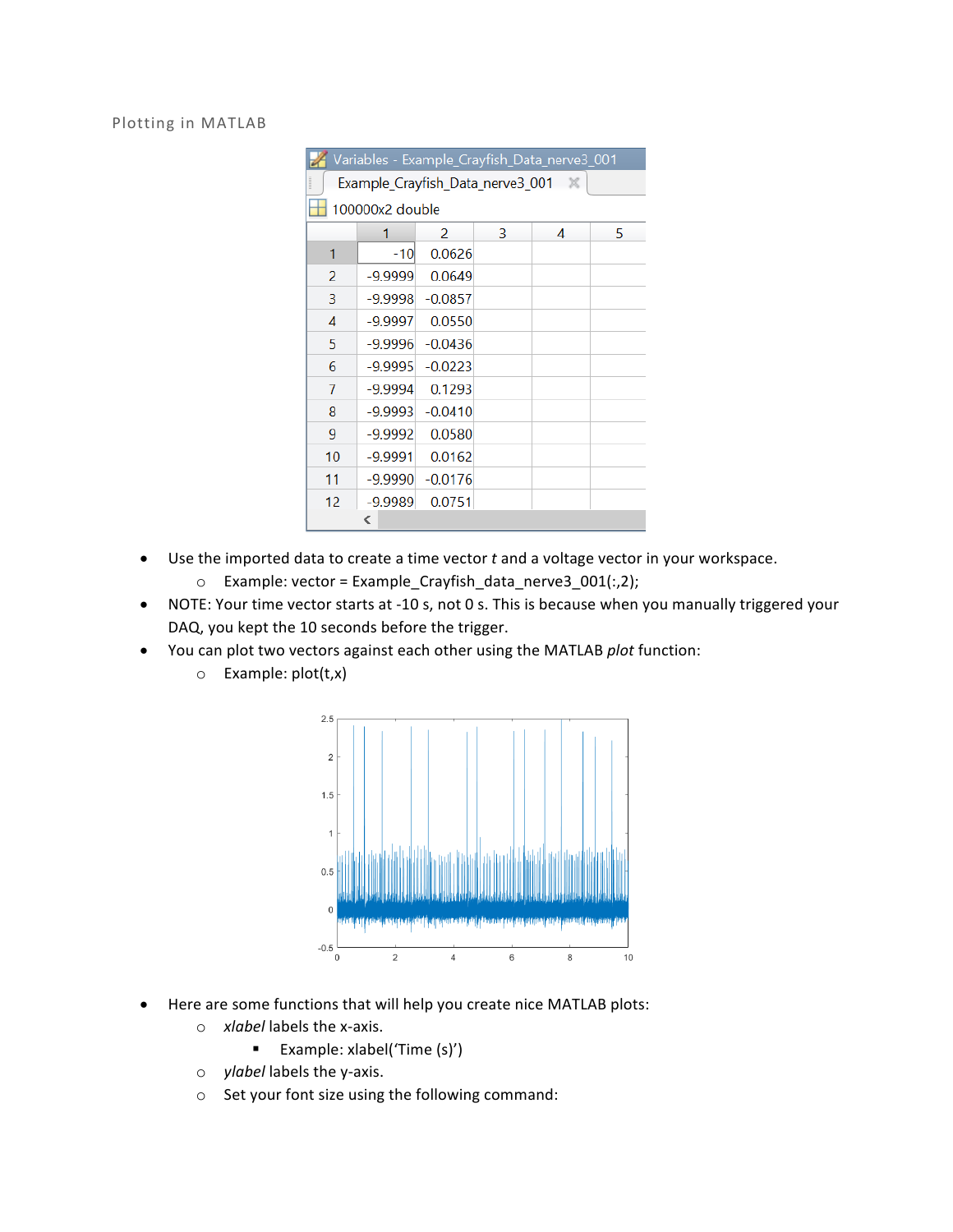## Plotting in MATLAB

| Variables - Example_Crayfish_Data_nerve3_001 |           |               |   |   |    |  |
|----------------------------------------------|-----------|---------------|---|---|----|--|
| Example_Crayfish_Data_nerve3_001 X           |           |               |   |   |    |  |
| 100000x2 double                              |           |               |   |   |    |  |
|                                              | 1         | $\mathcal{P}$ | 3 | 4 | 5. |  |
| 1                                            | -10       | 0.0626        |   |   |    |  |
| 2                                            | $-9.9999$ | 0.0649        |   |   |    |  |
| 3                                            | $-9.9998$ | $-0.0857$     |   |   |    |  |
| 4                                            | $-9.9997$ | 0.0550        |   |   |    |  |
| 5                                            | $-9.9996$ | $-0.0436$     |   |   |    |  |
| 6                                            | $-9.9995$ | $-0.0223$     |   |   |    |  |
| 7                                            | $-9.9994$ | 0.1293        |   |   |    |  |
| 8                                            | $-9.9993$ | $-0.0410$     |   |   |    |  |
| 9                                            | $-9.9992$ | 0.0580        |   |   |    |  |
| 10                                           | $-9.9991$ | 0.0162        |   |   |    |  |
| 11                                           | $-9.9990$ | $-0.0176$     |   |   |    |  |
| 12                                           | $-9.9989$ | 0.0751        |   |   |    |  |
|                                              | ∢         |               |   |   |    |  |

- Use the imported data to create a time vector *t* and a voltage vector in your workspace.
	- $\circ$  Example: vector = Example\_Crayfish\_data\_nerve3\_001(:,2);
- NOTE: Your time vector starts at -10 s, not 0 s. This is because when you manually triggered your DAQ, you kept the 10 seconds before the trigger.
- You can plot two vectors against each other using the MATLAB *plot* function:
	- $\circ$  Example: plot(t,x)



- Here are some functions that will help you create nice MATLAB plots:
	- o xlabel labels the x-axis.
		- Example: xlabel('Time (s)')
	- o ylabel labels the y-axis.
	- $\circ$  Set your font size using the following command: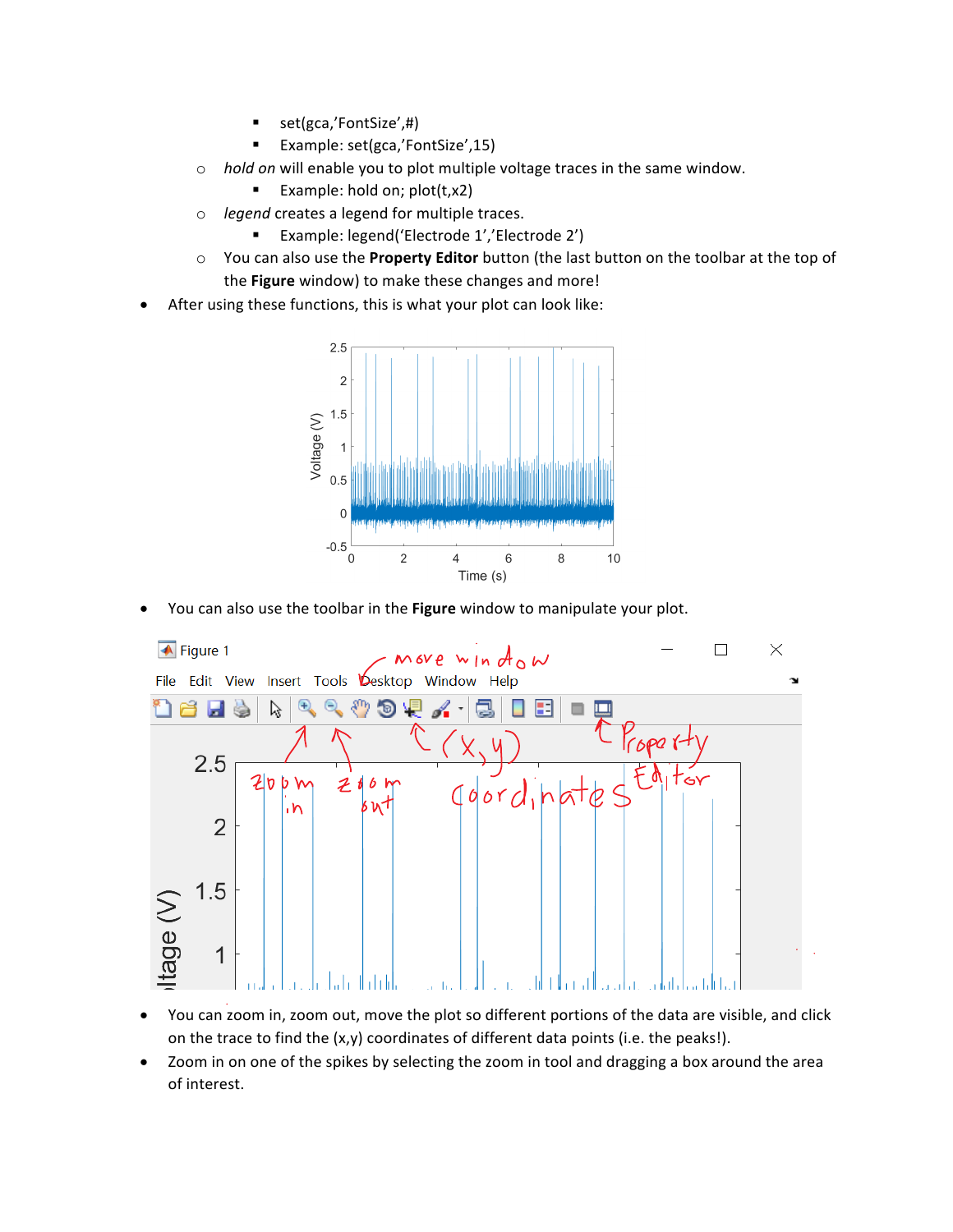- § set(gca,'FontSize',#)
- § Example: set(gca,'FontSize',15)
- o *hold on* will enable you to plot multiple voltage traces in the same window.
	- Example: hold on;  $plot(t, x2)$
- o *legend* creates a legend for multiple traces.
	- Example: legend('Electrode 1','Electrode 2')
- o You can also use the **Property Editor** button (the last button on the toolbar at the top of the **Figure** window) to make these changes and more!
- After using these functions, this is what your plot can look like:



• You can also use the toolbar in the Figure window to manipulate your plot.



- You can zoom in, zoom out, move the plot so different portions of the data are visible, and click on the trace to find the  $(x,y)$  coordinates of different data points (i.e. the peaks!).
- Zoom in on one of the spikes by selecting the zoom in tool and dragging a box around the area of interest.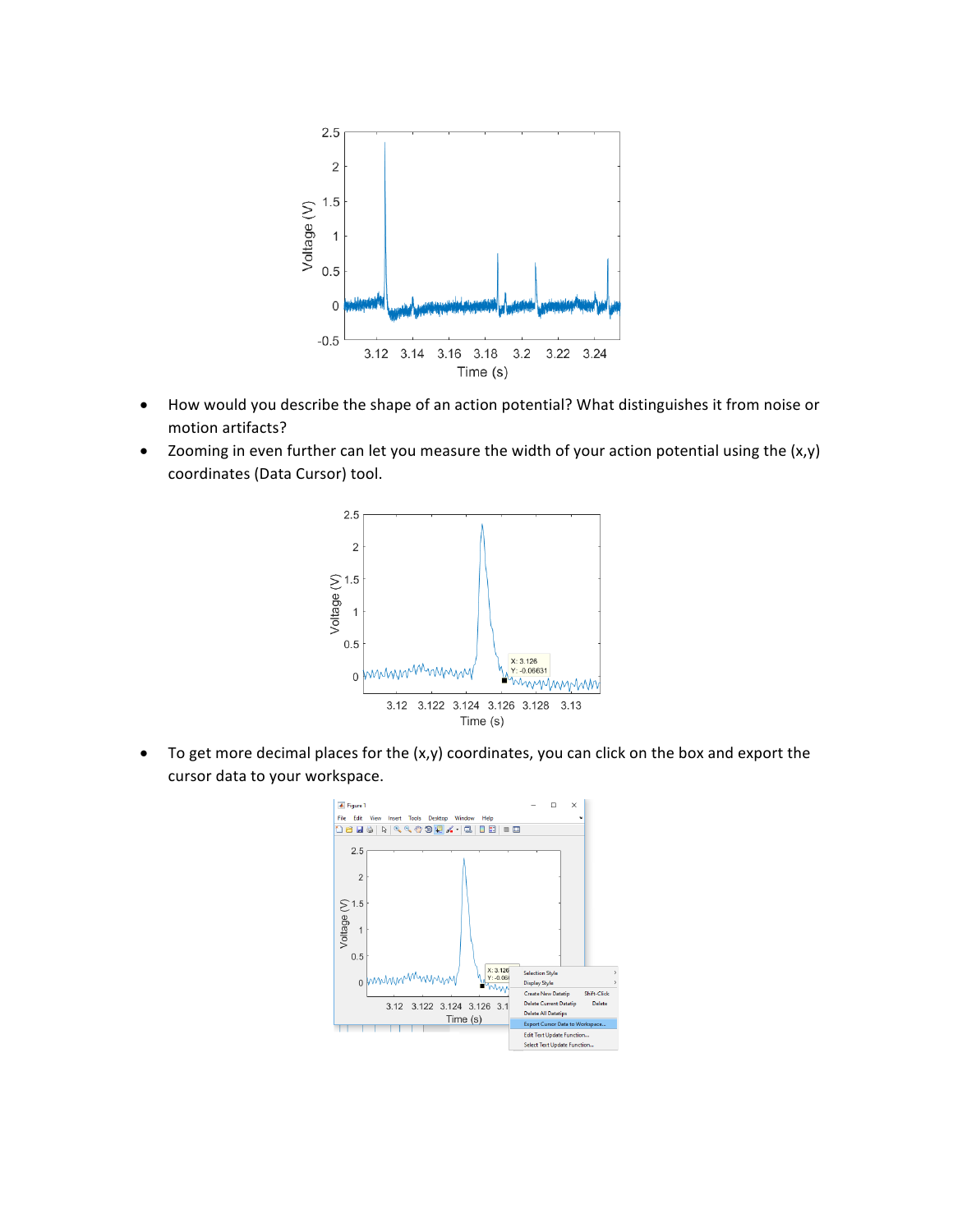

- How would you describe the shape of an action potential? What distinguishes it from noise or motion artifacts?
- Zooming in even further can let you measure the width of your action potential using the  $(x,y)$ coordinates (Data Cursor) tool.



• To get more decimal places for the  $(x,y)$  coordinates, you can click on the box and export the cursor data to your workspace.

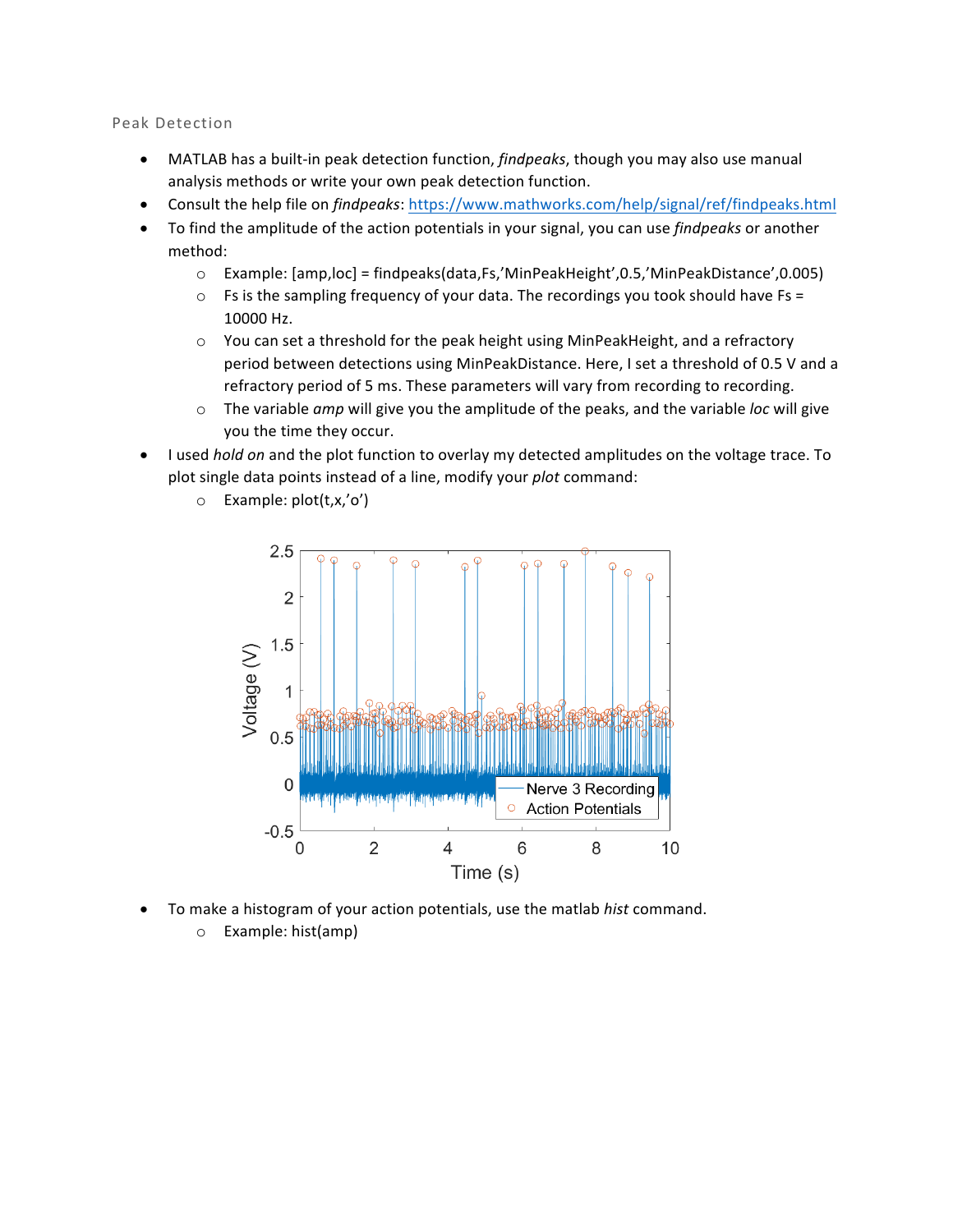Peak Detection

- MATLAB has a built-in peak detection function, *findpeaks*, though you may also use manual analysis methods or write your own peak detection function.
- Consult the help file on *findpeaks*: https://www.mathworks.com/help/signal/ref/findpeaks.html
- To find the amplitude of the action potentials in your signal, you can use *findpeaks* or another method:
	- $\circ$  Example:  $[amp,loc]$  = findpeaks(data,Fs,'MinPeakHeight',0.5,'MinPeakDistance',0.005)
	- $\circ$  Fs is the sampling frequency of your data. The recordings you took should have Fs = 10000 Hz.
	- $\circ$  You can set a threshold for the peak height using MinPeakHeight, and a refractory period between detections using MinPeakDistance. Here, I set a threshold of 0.5 V and a refractory period of 5 ms. These parameters will vary from recording to recording.
	- $\circ$  The variable *amp* will give you the amplitude of the peaks, and the variable *loc* will give you the time they occur.
- I used *hold* on and the plot function to overlay my detected amplitudes on the voltage trace. To plot single data points instead of a line, modify your *plot* command:



 $\circ$  Example: plot(t,x,'o')

- To make a histogram of your action potentials, use the matlab hist command.
	- o Example: hist(amp)